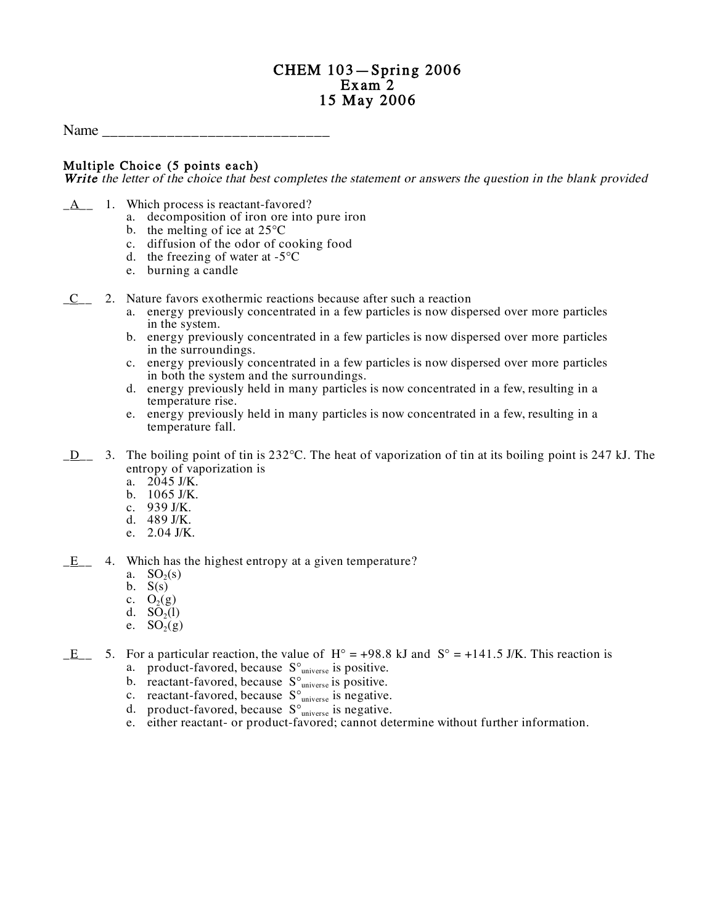# CHEM 103—Spring 2006 15 May 2006

Name

### Multiple Choice (5 points each)

Write the letter of the choice that best completes the statement or answers the question in the blank provided

- $A_1$  1. Which process is reactant-favored?
	- a. decomposition of iron ore into pure iron
	- b. the melting of ice at 25 C
	- c. diffusion of the odor of cooking food
	- d. the freezing of water at -5 C
	- e. burning a candle
- \_C\_\_ 2. Nature favors exothermic reactions because after such a reaction
	- a. energy previously concentrated in a few particles is now dispersed over more particles in the system.
	- b. energy previously concentrated in a few particles is now dispersed over more particles in the surroundings.
	- c. energy previously concentrated in a few particles is now dispersed over more particles in both the system and the surroundings.
	- d. energy previously held in many particles is now concentrated in a few, resulting in a temperature rise.
	- e. energy previously held in many particles is now concentrated in a few, resulting in a temperature fall.
- \_D\_\_ 3. The boiling point of tin is 232 C. The heat of vaporization of tin at its boiling point is 247 kJ. The entropy of vaporization is
	- a.  $2045$  J/K.
	- b. 1065 J/K.
	- c. <sup>939</sup> J/K. d. <sup>489</sup> J/K.
	-
	- e. 2.04 J/K.
- $E_$  4. Which has the highest entropy at a given temperature?
	- a.  $SO_2(s)$
	- b.  $S(s)$
	- c.  $O_2(g)$
	- d.  $SO_2(1)$
	- e.  $SO_2(g)$
- $E_{\text{max}}$  5. For a particular reaction, the value of H = +98.8 kJ and S = +141.5 J/K. This reaction is a. product-favored, because S universe is positive.
	-
	- b. reactant-favored, because S universe is positive.
	- c. reactant-favored, because S universe is negative.
	- d. product-favored, because  $S_{universe}$  is negative.
	- e. either reactant- or product-favored; cannot determine without further information.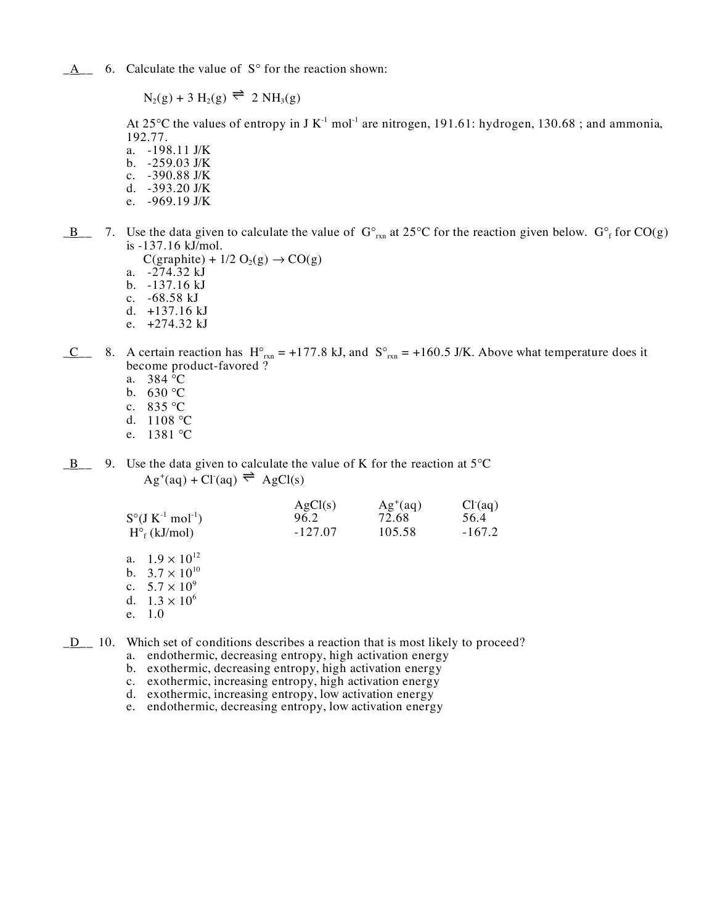$\underline{A}$  6. Calculate the value of S for the reaction shown:

 $N_2(g) + 3 H_2(g) \rightleftharpoons 2 NH_3(g)$ 

At 25 C the values of entropy in J K<sup>-1</sup> mol<sup>-1</sup> are nitrogen, 191.61: hydrogen, 130.68; and ammonia, 192.77.

- a. -198.11 J/K b. -259.03 J/K
- c. -390.88 J/K
- d. -393.20 J/K
- e. -969.19 J/K
- $\underline{B}$  7. Use the data given to calculate the value of G  $I_{rxn}$  at 25 C for the reaction given below. G  $\overline{f}$  for CO(g) is -137.16 kJ/mol.
	- $C(\text{graphite}) + 1/2 \text{ O}_2(g) \rightarrow CO(g)$
	- a. -274.32 kJ
	- b. -137.16 kJ
	- c. -68.58 kJ
	- d. +137.16 kJ e. +274.32 kJ
- $C_$  8. A certain reaction has H  $_{rxn}$  = +177.8 kJ, and S  $_{rxn}$  = +160.5 J/K. Above what temperature does it
	- become product-favored ?
	- a. 384 C
	- b. 630 C
	- c. 835 C
	- d. 1108 C
	- e. 1381 C
- $\underline{B}$  9. Use the data given to calculate the value of K for the reaction at 5 C  $\text{Ag}^{\text{+}}(\text{aq}) + \text{Cl}^{\text{-}}(\text{aq}) \rightleftharpoons \text{AgCl(s)}$

| $S$ (J K <sup>-1</sup> mol <sup>-1</sup> )<br>$H_f(kJ/mol)$                                                    | AgCl(s)<br>96.2<br>$-127.07$ | $Ag^+(aq)$<br>72.68<br>105.58 | Cl <sup>2</sup> (aq)<br>56.4<br>$-167.2$ |
|----------------------------------------------------------------------------------------------------------------|------------------------------|-------------------------------|------------------------------------------|
| a. $1.9 \times 10^{12}$<br>b. $3.7 \times 10^{10}$<br>c. $5.7 \times 10^9$<br>d. $1.3 \times 10^6$<br>e. $1.0$ |                              |                               |                                          |

\_D\_\_ 10. Which set of conditions describes a reaction that is most likely to proceed?

- a. endothermic, decreasing entropy, high activation energy
- b. exothermic, decreasing entropy, high activation energy
- c. exothermic, increasing entropy, high activation energy
- d. exothermic, increasing entropy, low activation energy
- e. endothermic, decreasing entropy, low activation energy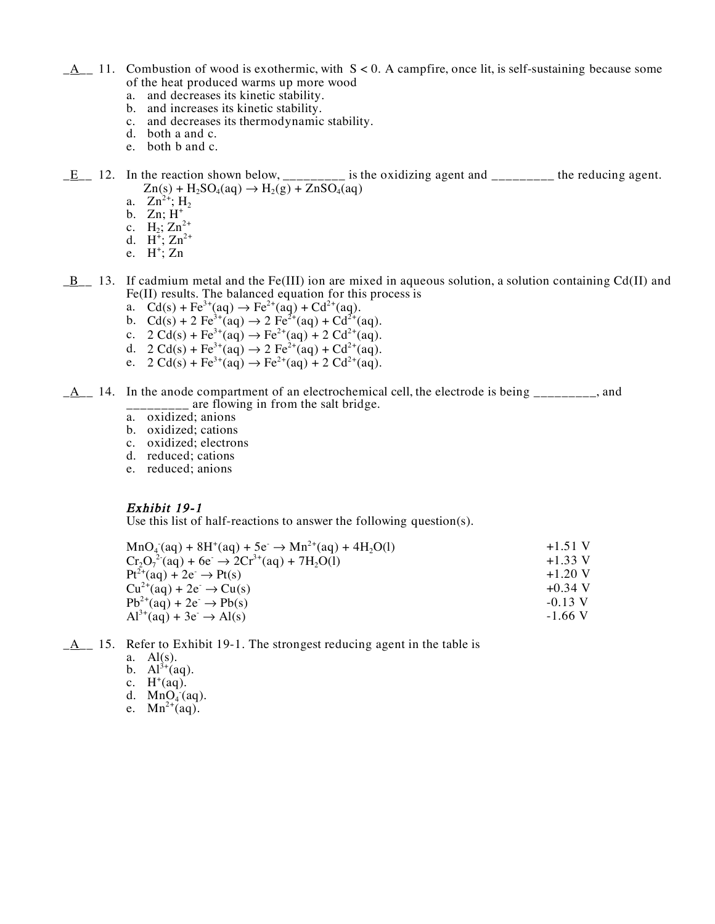- $A_1 A_2 = 11$ . Combustion of wood is exothermic, with  $S < 0$ . A campfire, once lit, is self-sustaining because some of the heat produced warms up more wood
	- a. and decreases its kinetic stability.
	- b. and increases its kinetic stability.
	- c. and decreases its thermodynamic stability.
	- d. both a and c.
	- e. both b and c.
- $E_{\text{max}}$  12. In the reaction shown below, \_\_\_\_\_\_\_\_\_ is the oxidizing agent and \_\_\_\_\_\_\_\_ the reducing agent.  $Zn(s)$  + H<sub>2</sub>SO<sub>4</sub>(aq)  $\rightarrow$  H<sub>2</sub>(g) + ZnSO<sub>4</sub>(aq)
	- a.  $Zn^{2+}$ ; H<sub>2</sub>
	- b. Zn;  $H^+$
	- c.  $H_2$ ;  $Zn_1^{2+}$
	- d.  $H^{\frac{1}{4}}$ ;  $Zn^{2+}$
	- e.  $H^+$ ; Zn
- $\underline{B}$  13. If cadmium metal and the Fe(III) ion are mixed in aqueous solution, a solution containing Cd(II) and Fe(II) results. The balanced equation for this process is
	- a.  $Cd(s) + Fe^{3+}(aq) \rightarrow Fe^{2+}(aq) + Cd^{2+}(aq)$ .
	- b.  $Cd(s) + 2 Fe^{3+}(aq) \rightarrow 2 Fe^{2+}(aq) + Cd^{2+}(aq)$ .
	- c.  $2 \text{Cd}(s) + \text{Fe}^{3+}(aq) \rightarrow \text{Fe}^{2+}(aq) + 2 \text{Cd}^{2+}(aq)$ .
	- d.  $2 \text{Cd}(s) + \text{Fe}^{3+}(aq) \rightarrow 2 \text{Fe}^{2+}(aq) + \text{Cd}^{2+}(aq)$ .
	- e.  $2 \text{Cd}(s) + \text{Fe}^{3+}(aq) \rightarrow \text{Fe}^{2+}(aq) + 2 \text{Cd}^{2+}(aq)$ .
- $A_1$  14. In the anode compartment of an electrochemical cell, the electrode is being  $A_1$ , and \_\_\_\_\_\_\_\_\_ are flowing in from the salt bridge.
	- a. oxidized; anions
	- b. oxidized; cations
	- c. oxidized; electrons
	- d. reduced; cations
	- e. reduced; anions

#### Exhibit 19-1

Use this list of half-reactions to answer the following question(s).

| $Cr_2O_7^{2}(aq) + 6e^- \rightarrow 2Cr^{3+}(aq) + 7H_2O(l)$ | $+1.51$ V |
|--------------------------------------------------------------|-----------|
|                                                              | $+1.33$ V |
| $Pt^{2+}(aq) + 2e^+ \rightarrow Pt(s)$                       | $+1.20$ V |
| $Cu^{2+}(aq) + 2e^{-} \rightarrow Cu(s)$                     | $+0.34$ V |
| $Pb^{2+}(aq) + 2e^- \rightarrow Pb(s)$                       | $-0.13$ V |
| $Al^{3+}(aq) + 3e^{-} \rightarrow Al(s)$                     | $-1.66$ V |

- $\underline{A}$  15. Refer to Exhibit 19-1. The strongest reducing agent in the table is
	- a.  $Al(s)$ .
	- b.  $Al^{3+}(aq)$ .
	- c.  $H^+(aq)$ .
	-
	- d.  $MnO_4^-(aq)$ .<br>e.  $Mn^{2+}(aq)$ .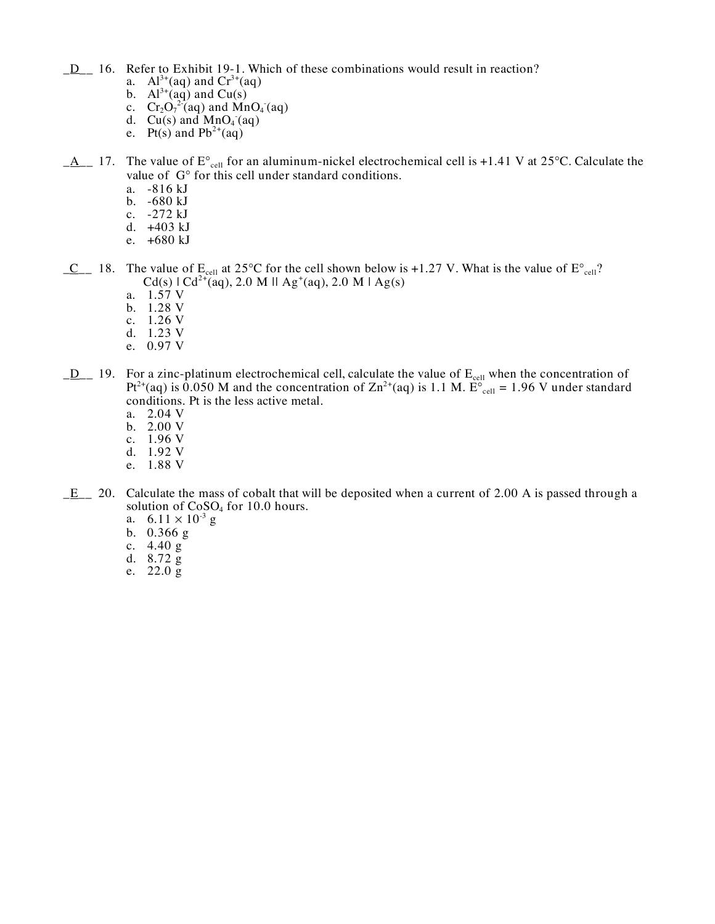**\_D\_** 16. Refer to Exhibit 19-1. Which of these combinations would result in reaction?

- a.  $Al^{3+}(aq)$  and  $Cr^{3+}(aq)$
- b.  $Al^{3+}(aq)$  and Cu(s)
- c.  $Cr_2O_7^{27}$ (aq) and MnO<sub>4</sub> (aq)
- d. Cu(s) and  $MnO_4$  (aq)
- e. Pt(s) and  $Pb^{2+}(aq)$
- $A_1$  17. The value of E <sub>cell</sub> for an aluminum-nickel electrochemical cell is +1.41 V at 25 C. Calculate the value of G for this cell under standard conditions.
	- a. -816 kJ
	- b. -680 kJ
	- c. -272 kJ
	- d. +403 kJ
	- e. +680 kJ
- $C_$  18. The value of  $E_{cell}$  at 25 C for the cell shown below is +1.27 V. What is the value of E  $_{cell}$ ?  $Cd(s)$  |  $Cd^{2+}(aq)$ , 2.0 M || Ag<sup>+</sup>(aq), 2.0 M | Ag(s)
	- a. 1.57 V
	- b. 1.28 V
	- c. 1.26 V
	- d. 1.23 V
	- e. 0.97 V
- $\underline{D}$  19. For a zinc-platinum electrochemical cell, calculate the value of  $E_{cell}$  when the concentration of Pt<sup>2+</sup>(aq) is 0.050 M and the concentration of  $\text{Zn}^{2+}$ (aq) is 1.1 M. E <sub>cell</sub> = 1.96 V under standard conditions. Pt is the less active metal.
	- a. 2.04 V
	- b. 2.00 V
	- c. 1.96 V
	- d. 1.92 V
	- e. 1.88 V
- $E_$  20. Calculate the mass of cobalt that will be deposited when a current of 2.00 A is passed through a solution of CoSO<sub>4</sub> for 10.0 hours.
	- a.  $6.11 \times 10^{-3}$  g
	- b. 0.366 g
	- c. 4.40 g
	- d. 8.72 g
	- e. 22.0 g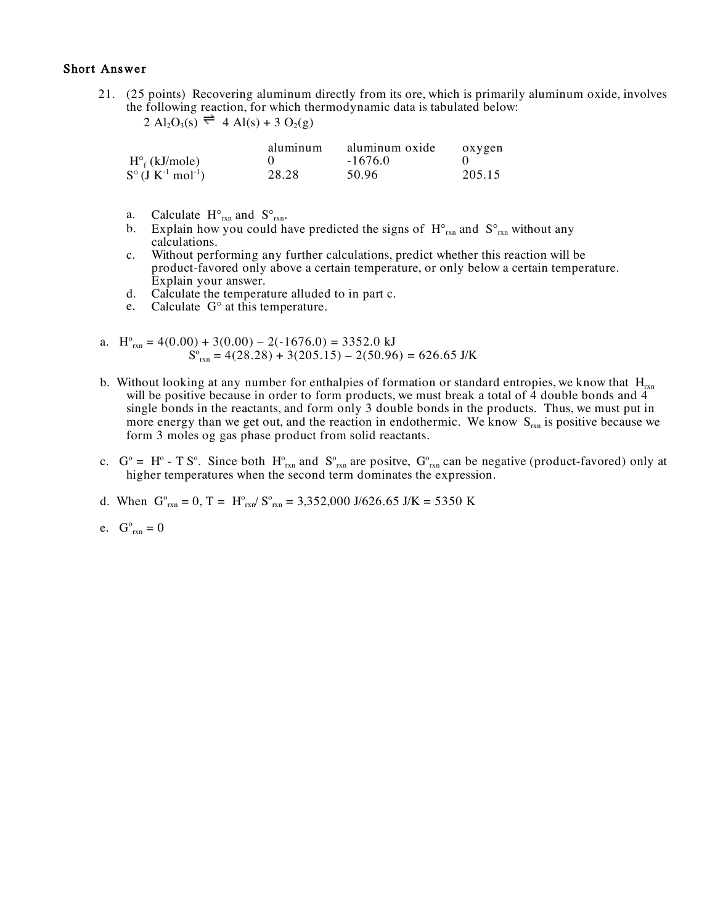#### Short Answer

21. (25 points) Recovering aluminum directly from its ore, which is primarily aluminum oxide, involves the following reaction, for which thermodynamic data is tabulated below:

```
2 \text{ Al}_2\text{O}_3(\text{s}) \rightleftharpoons 4 \text{ Al}(\text{s}) + 3 \text{ O}_2(\text{g})
```

|                         | aluminum | aluminum oxide | oxygen |
|-------------------------|----------|----------------|--------|
| $H_f(kJ/mole)$          |          | $-1676.0$      |        |
| S $(J K^{-1} mol^{-1})$ | 28.28    | 50.96          | 205.15 |

- a. Calculate H  $_{rxn}$  and S  $_{rxn}$ .
- b. Explain how you could have predicted the signs of H  $_{rxn}$  and S  $_{rxn}$  without any calculations.
- c. Without performing any further calculations, predict whether this reaction will be product-favored only above a certain temperature, or only below a certain temperature. Explain your answer.
- d. Calculate the temperature alluded to in part c.
- e. Calculate G at this temperature.
- a.  $H_{rxn}^{o} = 4(0.00) + 3(0.00) 2(-1676.0) = 3352.0$  kJ  $S_{\text{rxn}}^{\circ} = 4(28.28) + 3(205.15) - 2(50.96) = 626.65 \text{ J/K}$
- b. Without looking at any number for enthalpies of formation or standard entropies, we know that  $H_{rxn}$ will be positive because in order to form products, we must break a total of  $\overline{4}$  double bonds and  $4$ single bonds in the reactants, and form only 3 double bonds in the products. Thus, we must put in more energy than we get out, and the reaction in endothermic. We know  $S_{rxn}$  is positive because we form 3 moles og gas phase product from solid reactants.
- c.  $G^{\circ} = H^{\circ} T S^{\circ}$ . Since both  $H^{\circ}_{rxn}$  and  $S^{\circ}_{rxn}$  are positve,  $G^{\circ}_{rxn}$  can be negative (product-favored) only at higher temperatures when the second term dominates the expression.
- d. When  $G_{rxn}^{\circ} = 0$ ,  $T = H_{rxn}^{\circ}/S_{rxn}^{\circ} = 3,352,000 \text{ J}/626.65 \text{ J/K} = 5350 \text{ K}$
- e.  $G^{\circ}_{rxn} = 0$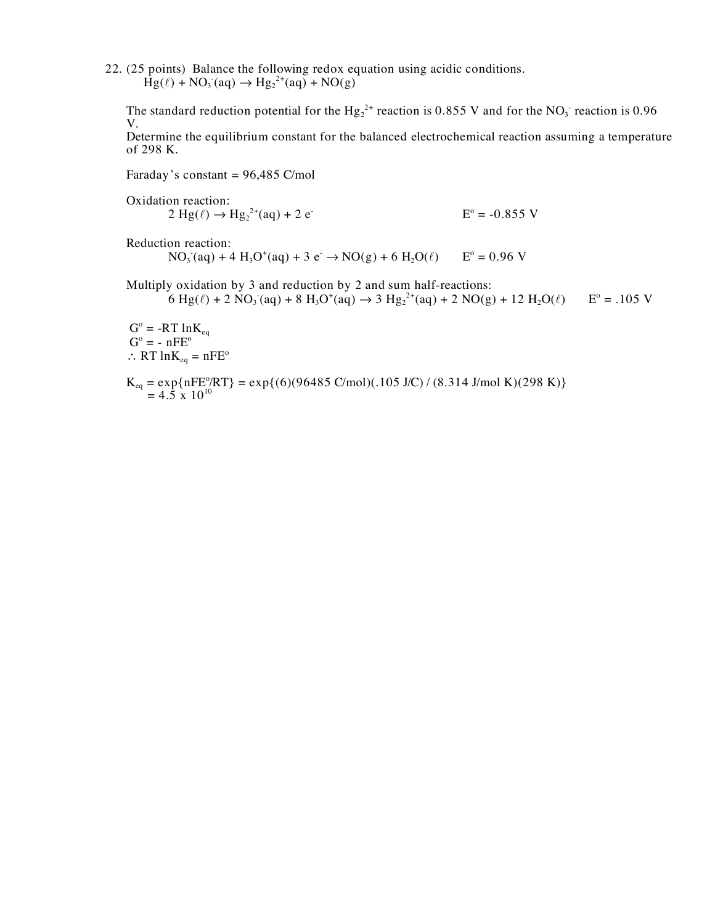22. (25 points) Balance the following redox equation using acidic conditions.  $Hg(\ell) + NO_3 \r{aq} \rightarrow Hg_2^{2+}(aq) + NO(g)$ 

The standard reduction potential for the  $Hg_2^{2+}$  reaction is 0.855 V and for the NO<sub>3</sub> reaction is 0.96 V.

Determine the equilibrium constant for the balanced electrochemical reaction assuming a temperature of 298 K.

Faraday's constant =  $96,485$  C/mol

Oxidation reaction:

 $2 \text{ Hg}(\ell) \to \text{Hg}_2^{2+}$  $E^{\circ} = -0.855$  V

Reduction reaction:

 $NO_3$  (aq) + 4 H<sub>3</sub>O<sup>+</sup>(aq) + 3 e<sup>-</sup> → NO(g) + 6 H<sub>2</sub>O( $\ell$ ) E<sup>o</sup> = 0.96 V

Multiply oxidation by 3 and reduction by 2 and sum half-reactions:

6 Hg( $\ell$ ) + 2 NO<sub>3</sub> (aq) + 8 H<sub>3</sub>O<sup>+</sup>(aq)  $\rightarrow$  3 Hg<sub>2</sub><sup>2+</sup>(aq) + 2 NO(g) + 12 H<sub>2</sub>O( $\ell$ ) E<sup>o</sup> = .105 V

 $G^{\circ} = -RT \ln K_{eq}$  $G^{\circ} = -nFE^{\circ}$ ∴ RT  $ln K_{eq} = nFE^{\circ}$ 

$$
K_{eq} = \exp\{nFE^o/RT\} = \exp\{(6)(96485 \text{ C/mol})(.105 \text{ J/C}) / (8.314 \text{ J/mol K})(298 \text{ K})\}
$$
  
= 4.5 x 10<sup>10</sup>